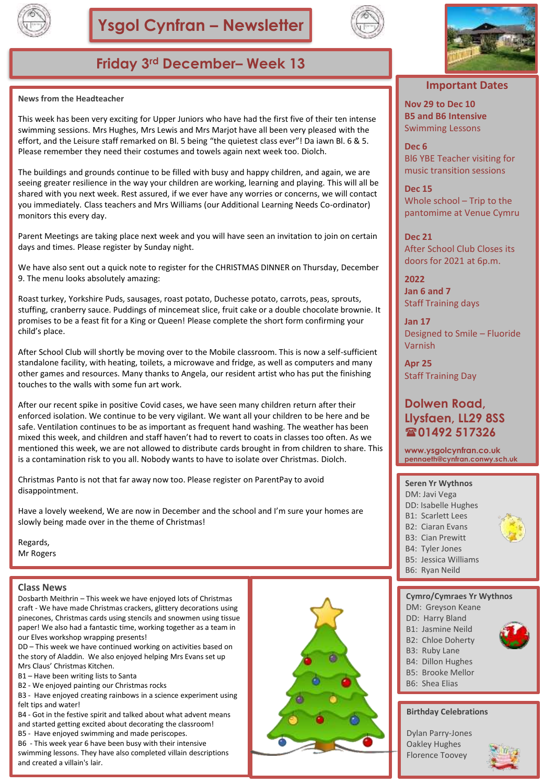



## **Friday 3rd December– Week 13**

#### **News from the Headteacher**

This week has been very exciting for Upper Juniors who have had the first five of their ten intense swimming sessions. Mrs Hughes, Mrs Lewis and Mrs Marjot have all been very pleased with the effort, and the Leisure staff remarked on Bl. 5 being "the quietest class ever"! Da iawn Bl. 6 & 5. Please remember they need their costumes and towels again next week too. Diolch.

The buildings and grounds continue to be filled with busy and happy children, and again, we are seeing greater resilience in the way your children are working, learning and playing. This will all be shared with you next week. Rest assured, if we ever have any worries or concerns, we will contact you immediately. Class teachers and Mrs Williams (our Additional Learning Needs Co-ordinator) monitors this every day.

Parent Meetings are taking place next week and you will have seen an invitation to join on certain days and times. Please register by Sunday night.

We have also sent out a quick note to register for the CHRISTMAS DINNER on Thursday, December 9. The menu looks absolutely amazing:

Roast turkey, Yorkshire Puds, sausages, roast potato, Duchesse potato, carrots, peas, sprouts, stuffing, cranberry sauce. Puddings of mincemeat slice, fruit cake or a double chocolate brownie. It promises to be a feast fit for a King or Queen! Please complete the short form confirming your child's place.

After School Club will shortly be moving over to the Mobile classroom. This is now a self-sufficient standalone facility, with heating, toilets, a microwave and fridge, as well as computers and many other games and resources. Many thanks to Angela, our resident artist who has put the finishing touches to the walls with some fun art work.

After our recent spike in positive Covid cases, we have seen many children return after their enforced isolation. We continue to be very vigilant. We want all your children to be here and be safe. Ventilation continues to be as important as frequent hand washing. The weather has been mixed this week, and children and staff haven't had to revert to coats in classes too often. As we mentioned this week, we are not allowed to distribute cards brought in from children to share. This is a contamination risk to you all. Nobody wants to have to isolate over Christmas. Diolch.

Christmas Panto is not that far away now too. Please register on ParentPay to avoid disappointment.

Have a lovely weekend, We are now in December and the school and I'm sure your homes are slowly being made over in the theme of Christmas!

Regards, Mr Rogers

#### **Class News**

Dosbarth Meithrin – This week we have enjoyed lots of Christmas craft - We have made Christmas crackers, glittery decorations using pinecones, Christmas cards using stencils and snowmen using tissue paper! We also had a fantastic time, working together as a team in our Elves workshop wrapping presents!

DD – This week we have continued working on activities based on the story of Aladdin. We also enjoyed helping Mrs Evans set up Mrs Claus' Christmas Kitchen.

- B1 Have been writing lists to Santa
- B2 We enjoyed painting our Christmas rocks
- B3 Have enjoyed creating rainbows in a science experiment using felt tips and water!
- B4 Got in the festive spirit and talked about what advent means
- and started getting excited about decorating the classroom!
- B5 Have enjoyed swimming and made periscopes.
- B6 This week year 6 have been busy with their intensive swimming lessons. They have also completed villain descriptions and created a villain's lair.





#### **Important Dates**

**Nov 29 to Dec 10 B5 and B6 Intensive**  Swimming Lessons

**Dec 6** Bl6 YBE Teacher visiting for music transition sessions

**Dec 15** Whole school – Trip to the pantomime at Venue Cymru

**Dec 21** After School Club Closes its doors for 2021 at 6p.m.

**2022 Jan 6 and 7**  Staff Training days

**Jan 17** Designed to Smile – Fluoride Varnish

**Apr 25** Staff Training Day

#### **Dolwen Road, Llysfaen, LL29 8SS 01492 517326**

**www.ysgolcynfran.co.uk pennaeth@cynfran.conwy.sch.uk**

#### **Seren Yr Wythnos**

- DM: Javi Vega
- DD: Isabelle Hughes
- B1: Scarlett Lees
- B2: Ciaran Evans
- B3: Cian Prewitt
- B4: Tyler Jones
- B5: Jessica Williams
- B6: Ryan Neild

#### **Cymro/Cymraes Yr Wythnos**

- DM: Greyson Keane
	- DD: Harry Bland
	- B1: Jasmine Neild
	- B2: Chloe Doherty
	- B3: Ruby Lane
	- B4: Dillon Hughes
	- B5: Brooke Mellor
	- B6: Shea Elias

#### **Birthday Celebrations**

Dylan Parry-Jones Oakley Hughes Florence Toovey

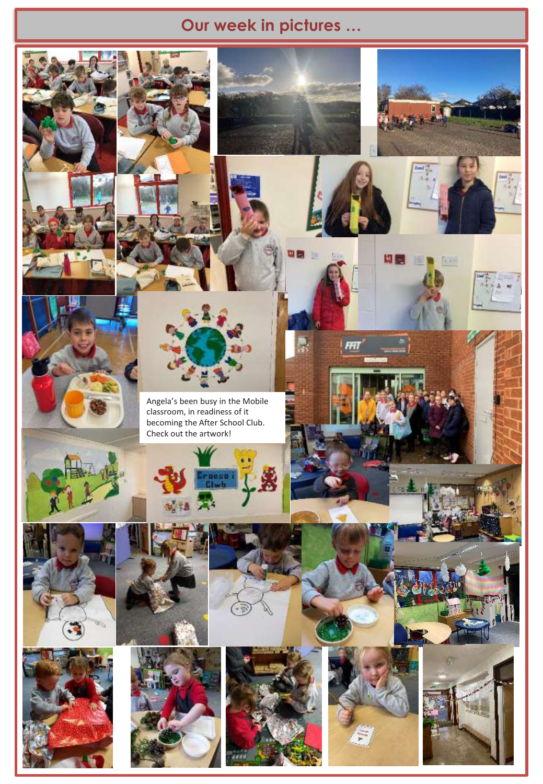## **Our week in pictures …**

FFI

問題 世界 医



Angela's been busy in the Mobile classroom, in readiness of it becoming the After School Club. Check out the artwork!